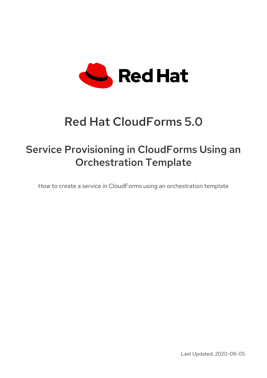

# Red Hat CloudForms 5.0

## Service Provisioning in CloudForms Using an Orchestration Template

How to create a service in CloudForms using an orchestration template

Last Updated: 2020-08-05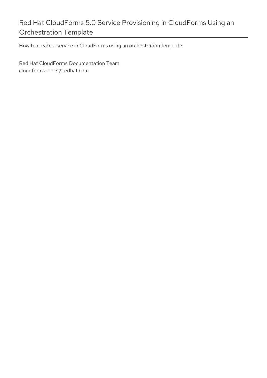### Red Hat CloudForms 5.0 Service Provisioning in CloudForms Using an Orchestration Template

How to create a service in CloudForms using an orchestration template

Red Hat CloudForms Documentation Team cloudforms-docs@redhat.com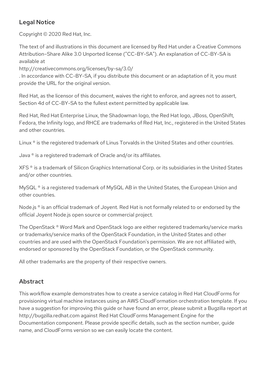#### Legal Notice

Copyright © 2020 Red Hat, Inc.

The text of and illustrations in this document are licensed by Red Hat under a Creative Commons Attribution–Share Alike 3.0 Unported license ("CC-BY-SA"). An explanation of CC-BY-SA is available at

http://creativecommons.org/licenses/by-sa/3.0/

. In accordance with CC-BY-SA, if you distribute this document or an adaptation of it, you must provide the URL for the original version.

Red Hat, as the licensor of this document, waives the right to enforce, and agrees not to assert, Section 4d of CC-BY-SA to the fullest extent permitted by applicable law.

Red Hat, Red Hat Enterprise Linux, the Shadowman logo, the Red Hat logo, JBoss, OpenShift, Fedora, the Infinity logo, and RHCE are trademarks of Red Hat, Inc., registered in the United States and other countries.

Linux ® is the registered trademark of Linus Torvalds in the United States and other countries.

Java ® is a registered trademark of Oracle and/or its affiliates.

XFS ® is a trademark of Silicon Graphics International Corp. or its subsidiaries in the United States and/or other countries.

MySQL<sup>®</sup> is a registered trademark of MySQL AB in the United States, the European Union and other countries.

Node.js ® is an official trademark of Joyent. Red Hat is not formally related to or endorsed by the official Joyent Node.js open source or commercial project.

The OpenStack ® Word Mark and OpenStack logo are either registered trademarks/service marks or trademarks/service marks of the OpenStack Foundation, in the United States and other countries and are used with the OpenStack Foundation's permission. We are not affiliated with, endorsed or sponsored by the OpenStack Foundation, or the OpenStack community.

All other trademarks are the property of their respective owners.

#### Abstract

This workflow example demonstrates how to create a service catalog in Red Hat CloudForms for provisioning virtual machine instances using an AWS CloudFormation orchestration template. If you have a suggestion for improving this guide or have found an error, please submit a Bugzilla report at http://bugzilla.redhat.com against Red Hat CloudForms Management Engine for the Documentation component. Please provide specific details, such as the section number, guide name, and CloudForms version so we can easily locate the content.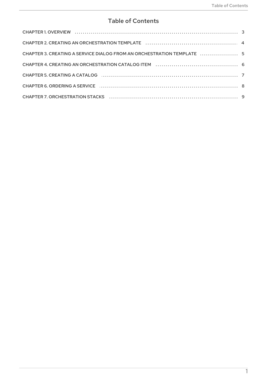#### **Table of Contents**

| CHAPTER 3. CREATING A SERVICE DIALOG FROM AN ORCHESTRATION TEMPLATE  5 |  |
|------------------------------------------------------------------------|--|
|                                                                        |  |
| CHAPTER 5. CREATING A CATALOG <b>CONSERVERSION</b> 7                   |  |
|                                                                        |  |
|                                                                        |  |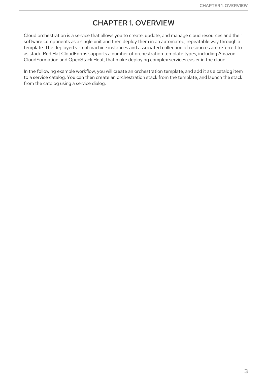#### CHAPTER 1. OVERVIEW

<span id="page-6-0"></span>Cloud orchestration is a service that allows you to create, update, and manage cloud resources and their software components as a single unit and then deploy them in an automated, repeatable way through a template. The deployed virtual machine instances and associated collection of resources are referred to as stack. Red Hat CloudForms supports a number of orchestration template types, including Amazon CloudFormation and OpenStack Heat, that make deploying complex services easier in the cloud.

In the following example workflow, you will create an orchestration template, and add it as a catalog item to a service catalog. You can then create an orchestration stack from the template, and launch the stack from the catalog using a service dialog.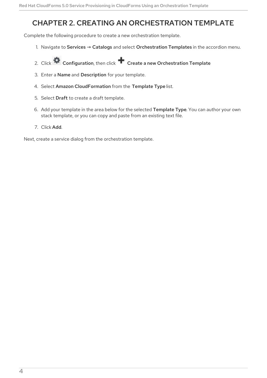## <span id="page-7-1"></span><span id="page-7-0"></span>CHAPTER 2. CREATING AN ORCHESTRATION TEMPLATE

Complete the following procedure to create a new orchestration template.

- 1. Navigate to Services → Catalogs and select Orchestration Templates in the accordion menu.
- 2. Click Configuration, then click **T** Create a new Orchestration Template.
- 3. Enter a Name and Description for your template.
- 4. Select Amazon CloudFormation from the Template Type list.
- 5. Select Draft to create a draft template.
- 6. Add your template in the area below for the selected Template Type. You can author your own stack template, or you can copy and paste from an existing text file.
- 7. Click Add.

Next, create a service dialog from the orchestration template.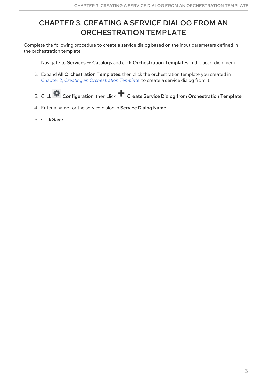## <span id="page-8-0"></span>CHAPTER 3. CREATING A SERVICE DIALOG FROM AN ORCHESTRATION TEMPLATE

Complete the following procedure to create a service dialog based on the input parameters defined in the orchestration template.

- 1. Navigate to Services → Catalogs and click Orchestration Templates in the accordion menu.
- 2. Expand All Orchestration Templates, then click the orchestration template you created in Chapter 2, *Creating an [Orchestration](#page-7-1) Template* to create a service dialog from it.
- 3. Click Configuration, then click **T** Create Service Dialog from Orchestration Template.
- 4. Enter a name for the service dialog in Service Dialog Name.
- 5. Click Save.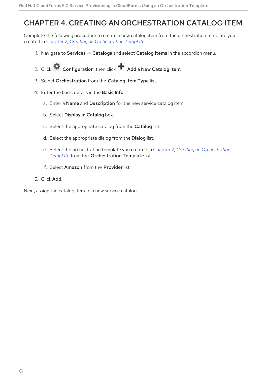#### <span id="page-9-1"></span><span id="page-9-0"></span>CHAPTER 4. CREATING AN ORCHESTRATION CATALOG ITEM

Complete the following procedure to create a new catalog item from the orchestration template you created in Chapter 2, *Creating an [Orchestration](#page-7-1) Template* .

- 1. Navigate to Services  $\rightarrow$  Catalogs and select Catalog Items in the accordion menu.
- 2. Click Configuration, then click **A** Add a New Catalog Item.
- 3. Select Orchestration from the Catalog Item Type list.
- 4. Enter the basic details in the Basic Info:
	- a. Enter a Name and Description for the new service catalog item.
	- b. Select Display in Catalog box.
	- c. Select the appropriate catalog from the Catalog list.
	- d. Select the appropriate dialog from the Dialog list.
	- e. Select the orchestration template you created in Chapter 2, *Creating an Orchestration Template* from the [Orchestration](#page-7-1) Template list.
	- f. Select Amazon from the Provider list.
- 5. Click Add.

Next, assign the catalog item to a new service catalog.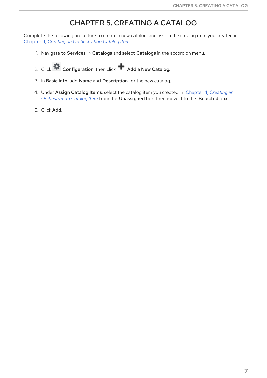#### CHAPTER 5. CREATING A CATALOG

<span id="page-10-0"></span>Complete the following procedure to create a new catalog, and assign the catalog item you created in Chapter 4, *Creating an [Orchestration](#page-9-1) Catalog Item* .

- 1. Navigate to Services → Catalogs and select Catalogs in the accordion menu.
- 2. Click  $\bullet$  Configuration, then click  $\bullet$  Add a New Catalog.
- 3. In Basic Info, add Name and Description for the new catalog.
- 4. Under Assign Catalog Items, select the catalog item you created in Chapter 4, *Creating an [Orchestration](#page-9-1) Catalog Item* from the Unassigned box, then move it to the Selected box.
- 5. Click Add.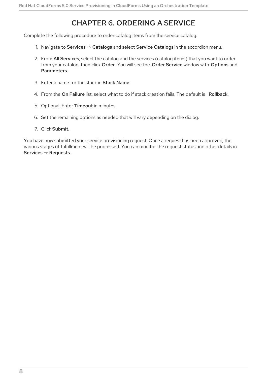### CHAPTER 6. ORDERING A SERVICE

<span id="page-11-0"></span>Complete the following procedure to order catalog items from the service catalog.

- 1. Navigate to Services → Catalogs and select Service Catalogs in the accordion menu.
- 2. From All Services, select the catalog and the services (catalog items) that you want to order from your catalog, then click Order. You will see the Order Service window with Options and Parameters.
- 3. Enter a name for the stack in Stack Name.
- 4. From the On Failure list, select what to do if stack creation fails. The default is Rollback.
- 5. Optional: Enter Timeout in minutes.
- 6. Set the remaining options as needed that will vary depending on the dialog.
- 7. Click Submit.

You have now submitted your service provisioning request. Once a request has been approved, the various stages of fulfillment will be processed. You can monitor the request status and other details in Services → Requests.